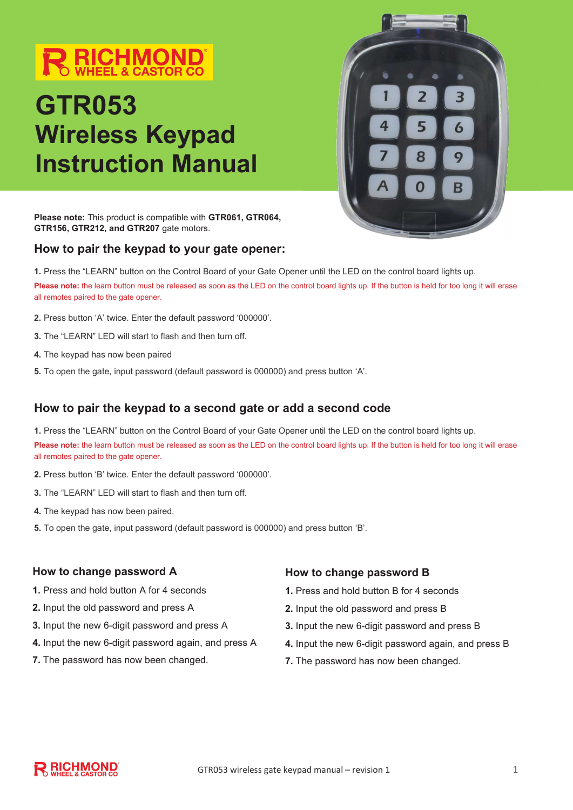# **RICHMOND**

# GTR053 Wireless Keypad Instruction Manual



Please note: This product is compatible with GTR061, GTR064, GTR156, GTR212, and GTR207 gate motors.

### How to pair the keypad to your gate opener:

1. Press the "LEARN" button on the Control Board of your Gate Opener until the LED on the control board lights up. Please note: the learn button must be released as soon as the LED on the control board lights up. If the button is held for too long it will erase all remotes paired to the gate opener.

- 2. Press button 'A' twice. Enter the default password '000000'.
- 3. The "LEARN" LED will start to flash and then turn off.
- 4. The keypad has now been paired
- 5. To open the gate, input password (default password is 000000) and press button 'A'.

## How to pair the keypad to a second gate or add a second code

1. Press the "LEARN" button on the Control Board of your Gate Opener until the LED on the control board lights up. Please note: the learn button must be released as soon as the LED on the control board lights up. If the button is held for too long it will erase all remotes paired to the gate opener.

- 2. Press button 'B' twice. Enter the default password '000000'.
- 3. The "LEARN" LED will start to flash and then turn off.
- 4. The keypad has now been paired.
- 5. To open the gate, input password (default password is 000000) and press button 'B'.

#### How to change password A

- 1. Press and hold button A for 4 seconds
- 2. Input the old password and press A
- 3. Input the new 6-digit password and press A
- 4. Input the new 6-digit password again, and press A
- 7. The password has now been changed.

#### How to change password B

- 1. Press and hold button B for 4 seconds
- 2. Input the old password and press B
- 3. Input the new 6-digit password and press B
- 4. Input the new 6-digit password again, and press B
- 7. The password has now been changed.